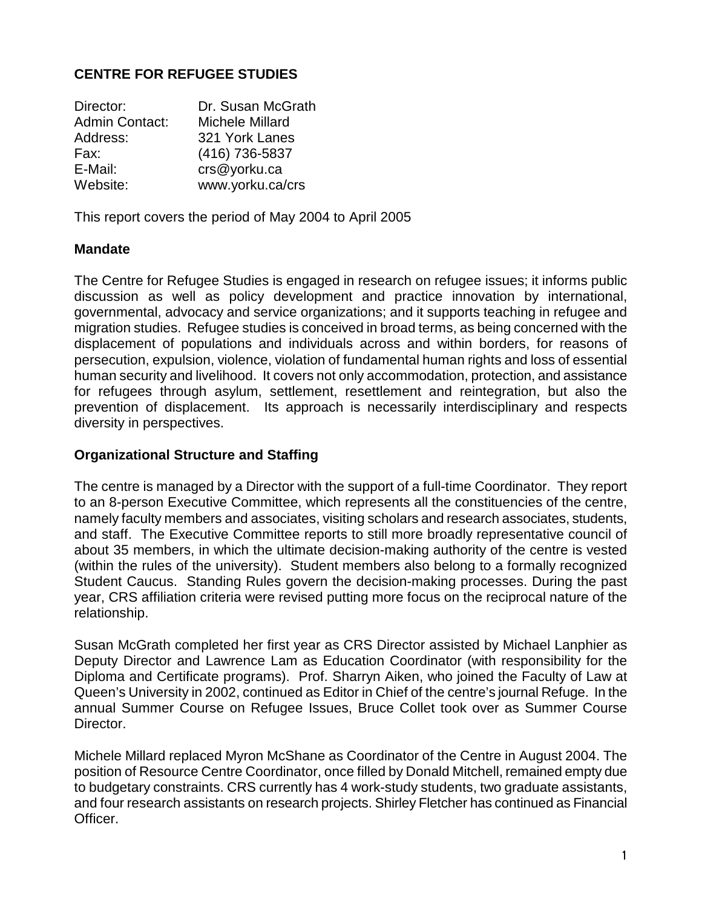## **CENTRE FOR REFUGEE STUDIES**

| Director:             | Dr. Susan McGrath |
|-----------------------|-------------------|
| <b>Admin Contact:</b> | Michele Millard   |
| Address:              | 321 York Lanes    |
| Fax:                  | (416) 736-5837    |
| E-Mail:               | crs@yorku.ca      |
| Website:              | www.yorku.ca/crs  |

This report covers the period of May 2004 to April 2005

#### **Mandate**

The Centre for Refugee Studies is engaged in research on refugee issues; it informs public discussion as well as policy development and practice innovation by international, governmental, advocacy and service organizations; and it supports teaching in refugee and migration studies. Refugee studies is conceived in broad terms, as being concerned with the displacement of populations and individuals across and within borders, for reasons of persecution, expulsion, violence, violation of fundamental human rights and loss of essential human security and livelihood. It covers not only accommodation, protection, and assistance for refugees through asylum, settlement, resettlement and reintegration, but also the prevention of displacement. Its approach is necessarily interdisciplinary and respects diversity in perspectives.

#### **Organizational Structure and Staffing**

The centre is managed by a Director with the support of a full-time Coordinator. They report to an 8-person Executive Committee, which represents all the constituencies of the centre, namely faculty members and associates, visiting scholars and research associates, students, and staff. The Executive Committee reports to still more broadly representative council of about 35 members, in which the ultimate decision-making authority of the centre is vested (within the rules of the university). Student members also belong to a formally recognized Student Caucus. Standing Rules govern the decision-making processes. During the past year, CRS affiliation criteria were revised putting more focus on the reciprocal nature of the relationship.

Susan McGrath completed her first year as CRS Director assisted by Michael Lanphier as Deputy Director and Lawrence Lam as Education Coordinator (with responsibility for the Diploma and Certificate programs). Prof. Sharryn Aiken, who joined the Faculty of Law at Queen's University in 2002, continued as Editor in Chief of the centre's journal Refuge. In the annual Summer Course on Refugee Issues, Bruce Collet took over as Summer Course Director.

Michele Millard replaced Myron McShane as Coordinator of the Centre in August 2004. The position of Resource Centre Coordinator, once filled by Donald Mitchell, remained empty due to budgetary constraints. CRS currently has 4 work-study students, two graduate assistants, and four research assistants on research projects. Shirley Fletcher has continued as Financial Officer.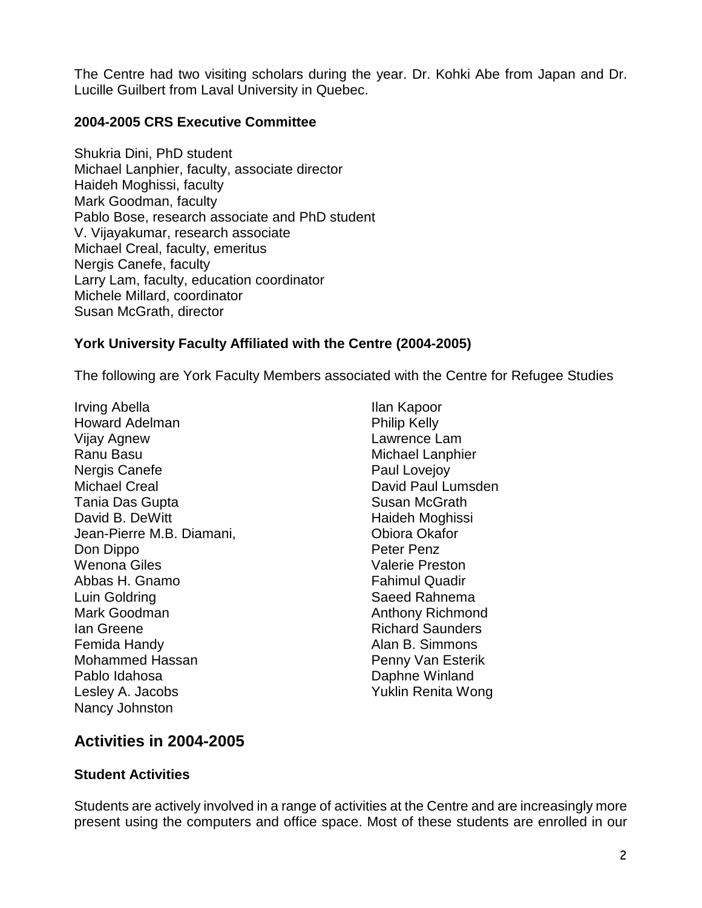The Centre had two visiting scholars during the year. Dr. Kohki Abe from Japan and Dr. Lucille Guilbert from Laval University in Quebec.

### **2004-2005 CRS Executive Committee**

Shukria Dini, PhD student Michael Lanphier, faculty, associate director Haideh Moghissi, faculty Mark Goodman, faculty Pablo Bose, research associate and PhD student V. Vijayakumar, research associate Michael Creal, faculty, emeritus Nergis Canefe, faculty Larry Lam, faculty, education coordinator Michele Millard, coordinator Susan McGrath, director

## **York University Faculty Affiliated with the Centre (2004-2005)**

The following are York Faculty Members associated with the Centre for Refugee Studies

Irving Abella Howard Adelman Vijay Agnew Ranu Basu Nergis Canefe Michael Creal Tania Das Gupta David B. DeWitt Jean-Pierre M.B. Diamani, Don Dippo Wenona Giles Abbas H. Gnamo Luin Goldring Mark Goodman Ian Greene Femida Handy Mohammed Hassan Pablo Idahosa Lesley A. Jacobs Nancy Johnston

Ilan Kapoor Philip Kelly Lawrence Lam Michael Lanphier Paul Lovejoy David Paul Lumsden Susan McGrath Haideh Moghissi Obiora Okafor Peter Penz Valerie Preston Fahimul Quadir Saeed Rahnema Anthony Richmond Richard Saunders Alan B. Simmons Penny Van Esterik Daphne Winland Yuklin Renita Wong

# **Activities in 2004-2005**

## **Student Activities**

Students are actively involved in a range of activities at the Centre and are increasingly more present using the computers and office space. Most of these students are enrolled in our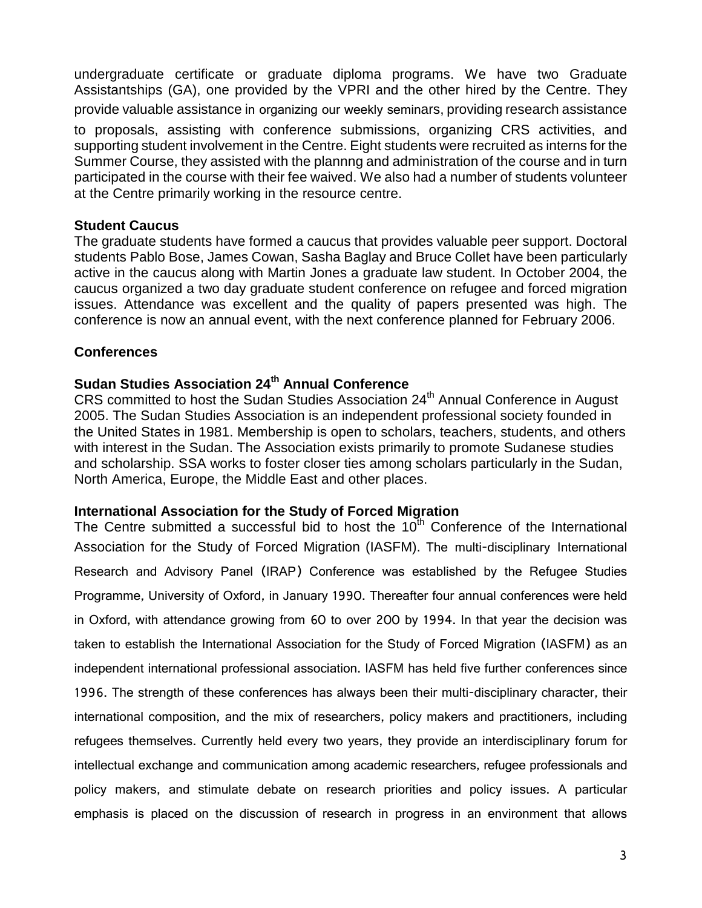undergraduate certificate or graduate diploma programs. We have two Graduate Assistantships (GA), one provided by the VPRI and the other hired by the Centre. They provide valuable assistance in organizing our weekly seminars, providing research assistance to proposals, assisting with conference submissions, organizing CRS activities, and

supporting student involvement in the Centre. Eight students were recruited as interns for the Summer Course, they assisted with the plannng and administration of the course and in turn participated in the course with their fee waived. We also had a number of students volunteer at the Centre primarily working in the resource centre.

#### **Student Caucus**

The graduate students have formed a caucus that provides valuable peer support. Doctoral students Pablo Bose, James Cowan, Sasha Baglay and Bruce Collet have been particularly active in the caucus along with Martin Jones a graduate law student. In October 2004, the caucus organized a two day graduate student conference on refugee and forced migration issues. Attendance was excellent and the quality of papers presented was high. The conference is now an annual event, with the next conference planned for February 2006.

## **Conferences**

# **Sudan Studies Association 24th Annual Conference**

 $CRS$  committed to host the Sudan Studies Association  $24<sup>th</sup>$  Annual Conference in August 2005. The Sudan Studies Association is an independent professional society founded in the United States in 1981. Membership is open to scholars, teachers, students, and others with interest in the Sudan. The Association exists primarily to promote Sudanese studies and scholarship. SSA works to foster closer ties among scholars particularly in the Sudan, North America, Europe, the Middle East and other places.

## **International Association for the Study of Forced Migration**

The Centre submitted a successful bid to host the  $10^{th}$  Conference of the International Association for the Study of Forced Migration (IASFM). The multi-disciplinary International Research and Advisory Panel (IRAP) Conference was established by the Refugee Studies Programme, University of Oxford, in January 1990. Thereafter four annual conferences were held in Oxford, with attendance growing from 60 to over 200 by 1994. In that year the decision was taken to establish the International Association for the Study of Forced Migration (IASFM) as an independent international professional association. IASFM has held five further conferences since 1996. The strength of these conferences has always been their multi-disciplinary character, their international composition, and the mix of researchers, policy makers and practitioners, including refugees themselves. Currently held every two years, they provide an interdisciplinary forum for intellectual exchange and communication among academic researchers, refugee professionals and policy makers, and stimulate debate on research priorities and policy issues. A particular emphasis is placed on the discussion of research in progress in an environment that allows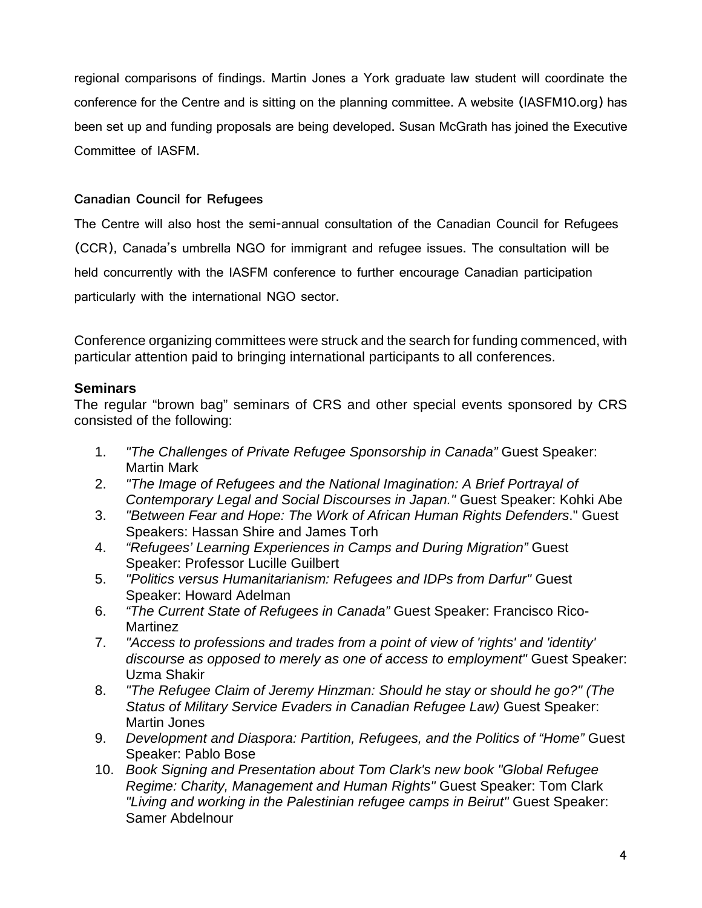regional comparisons of findings. Martin Jones a York graduate law student will coordinate the conference for the Centre and is sitting on the planning committee. A website (IASFM10.org) has been set up and funding proposals are being developed. Susan McGrath has joined the Executive Committee of IASFM.

### **Canadian Council for Refugees**

The Centre will also host the semi-annual consultation of the Canadian Council for Refugees (CCR), Canada's umbrella NGO for immigrant and refugee issues. The consultation will be held concurrently with the IASFM conference to further encourage Canadian participation particularly with the international NGO sector.

Conference organizing committees were struck and the search for funding commenced, with particular attention paid to bringing international participants to all conferences.

## **Seminars**

The regular "brown bag" seminars of CRS and other special events sponsored by CRS consisted of the following:

- 1. *"The Challenges of Private Refugee Sponsorship in Canada"* Guest Speaker: Martin Mark
- 2. *"The Image of Refugees and the National Imagination: A Brief Portrayal of Contemporary Legal and Social Discourses in Japan."* Guest Speaker: Kohki Abe
- 3. *"Between Fear and Hope: The Work of African Human Rights Defenders*." Guest Speakers: Hassan Shire and James Torh
- 4. *"Refugees' Learning Experiences in Camps and During Migration"* Guest Speaker: Professor Lucille Guilbert
- 5. *"Politics versus Humanitarianism: Refugees and IDPs from Darfur"* Guest Speaker: Howard Adelman
- 6. *"The Current State of Refugees in Canada"* Guest Speaker: Francisco Rico-Martinez
- 7. *"Access to professions and trades from a point of view of 'rights' and 'identity' discourse as opposed to merely as one of access to employment"* Guest Speaker: Uzma Shakir
- 8. *"The Refugee Claim of Jeremy Hinzman: Should he stay or should he go?" (The Status of Military Service Evaders in Canadian Refugee Law)* Guest Speaker: Martin Jones
- 9. *Development and Diaspora: Partition, Refugees, and the Politics of "Home"* Guest Speaker: Pablo Bose
- 10. *Book Signing and Presentation about Tom Clark's new book "Global Refugee Regime: Charity, Management and Human Rights"* Guest Speaker: Tom Clark *"Living and working in the Palestinian refugee camps in Beirut"* Guest Speaker: Samer Abdelnour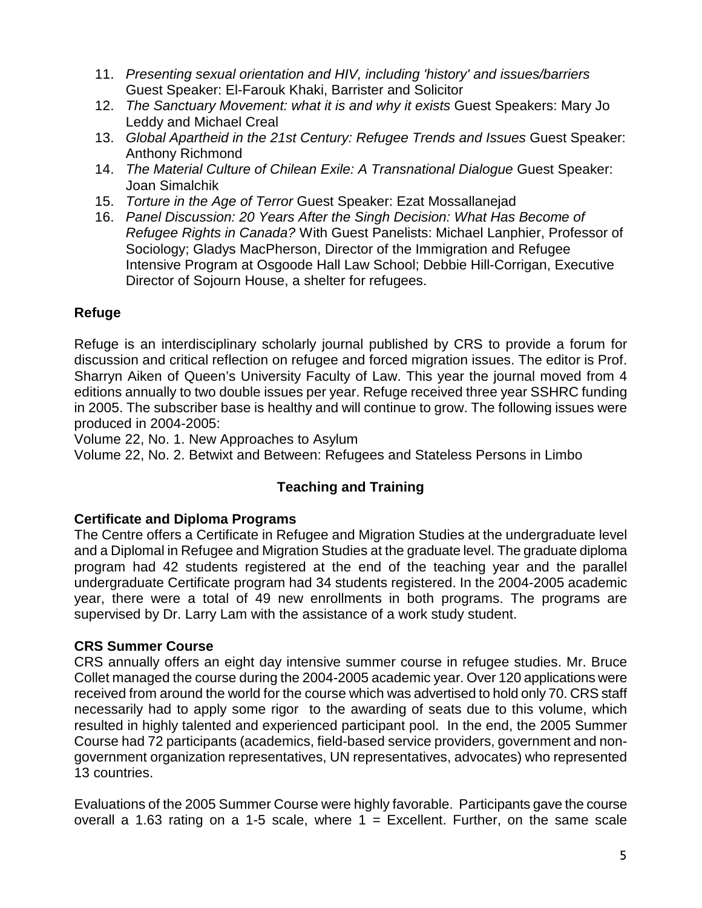- 11. *Presenting sexual orientation and HIV, including 'history' and issues/barriers* Guest Speaker: El-Farouk Khaki, Barrister and Solicitor
- 12. *The Sanctuary Movement: what it is and why it exists* Guest Speakers: Mary Jo Leddy and Michael Creal
- 13. *Global Apartheid in the 21st Century: Refugee Trends and Issues* Guest Speaker: Anthony Richmond
- 14. *The Material Culture of Chilean Exile: A Transnational Dialogue* Guest Speaker: Joan Simalchik
- 15. *Torture in the Age of Terror* Guest Speaker: Ezat Mossallanejad
- 16. *Panel Discussion: 20 Years After the Singh Decision: What Has Become of Refugee Rights in Canada?* With Guest Panelists: Michael Lanphier, Professor of Sociology; Gladys MacPherson, Director of the Immigration and Refugee Intensive Program at Osgoode Hall Law School; Debbie Hill-Corrigan, Executive Director of Sojourn House, a shelter for refugees.

# **Refuge**

Refuge is an interdisciplinary scholarly journal published by CRS to provide a forum for discussion and critical reflection on refugee and forced migration issues. The editor is Prof. Sharryn Aiken of Queen's University Faculty of Law. This year the journal moved from 4 editions annually to two double issues per year. Refuge received three year SSHRC funding in 2005. The subscriber base is healthy and will continue to grow. The following issues were produced in 2004-2005:

Volume 22, No. 1. New Approaches to Asylum

Volume 22, No. 2. Betwixt and Between: Refugees and Stateless Persons in Limbo

# **Teaching and Training**

# **Certificate and Diploma Programs**

The Centre offers a Certificate in Refugee and Migration Studies at the undergraduate level and a Diplomal in Refugee and Migration Studies at the graduate level. The graduate diploma program had 42 students registered at the end of the teaching year and the parallel undergraduate Certificate program had 34 students registered. In the 2004-2005 academic year, there were a total of 49 new enrollments in both programs. The programs are supervised by Dr. Larry Lam with the assistance of a work study student.

# **CRS Summer Course**

CRS annually offers an eight day intensive summer course in refugee studies. Mr. Bruce Collet managed the course during the 2004-2005 academic year. Over 120 applications were received from around the world for the course which was advertised to hold only 70. CRS staff necessarily had to apply some rigor to the awarding of seats due to this volume, which resulted in highly talented and experienced participant pool. In the end, the 2005 Summer Course had 72 participants (academics, field-based service providers, government and nongovernment organization representatives, UN representatives, advocates) who represented 13 countries.

Evaluations of the 2005 Summer Course were highly favorable. Participants gave the course overall a 1.63 rating on a 1-5 scale, where  $1 =$  Excellent. Further, on the same scale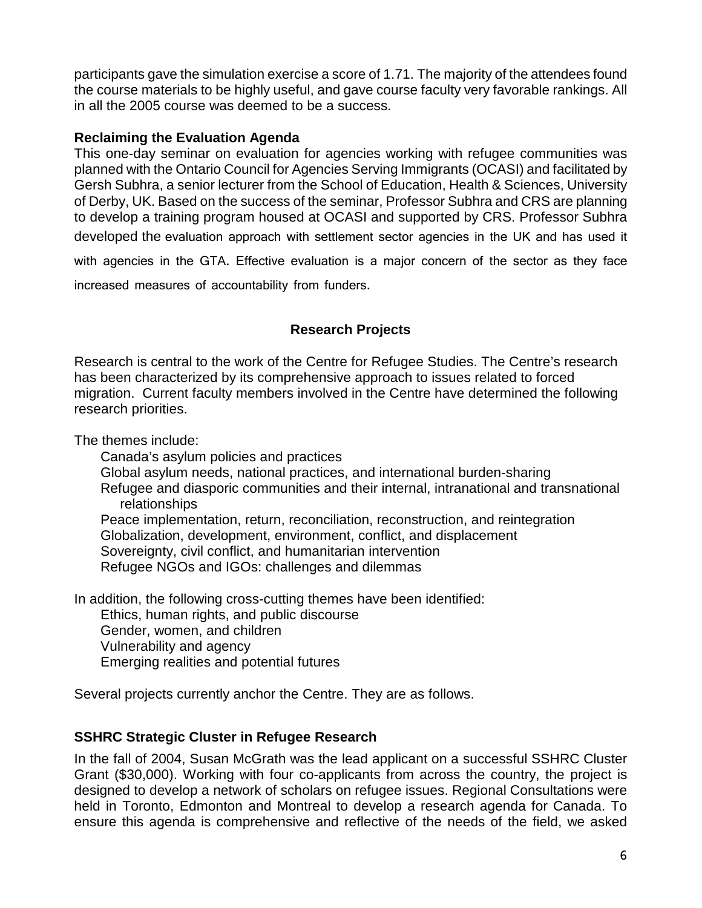participants gave the simulation exercise a score of 1.71. The majority of the attendees found the course materials to be highly useful, and gave course faculty very favorable rankings. All in all the 2005 course was deemed to be a success.

### **Reclaiming the Evaluation Agenda**

This one-day seminar on evaluation for agencies working with refugee communities was planned with the Ontario Council for Agencies Serving Immigrants (OCASI) and facilitated by Gersh Subhra, a senior lecturer from the School of Education, Health & Sciences, University of Derby, UK. Based on the success of the seminar, Professor Subhra and CRS are planning to develop a training program housed at OCASI and supported by CRS. Professor Subhra developed the evaluation approach with settlement sector agencies in the UK and has used it with agencies in the GTA. Effective evaluation is a major concern of the sector as they face increased measures of accountability from funders.

# **Research Projects**

Research is central to the work of the Centre for Refugee Studies. The Centre's research has been characterized by its comprehensive approach to issues related to forced migration. Current faculty members involved in the Centre have determined the following research priorities.

The themes include:

Canada's asylum policies and practices Global asylum needs, national practices, and international burden-sharing Refugee and diasporic communities and their internal, intranational and transnational relationships Peace implementation, return, reconciliation, reconstruction, and reintegration Globalization, development, environment, conflict, and displacement Sovereignty, civil conflict, and humanitarian intervention Refugee NGOs and IGOs: challenges and dilemmas

In addition, the following cross-cutting themes have been identified: Ethics, human rights, and public discourse Gender, women, and children Vulnerability and agency Emerging realities and potential futures

Several projects currently anchor the Centre. They are as follows.

## **SSHRC Strategic Cluster in Refugee Research**

In the fall of 2004, Susan McGrath was the lead applicant on a successful SSHRC Cluster Grant (\$30,000). Working with four co-applicants from across the country, the project is designed to develop a network of scholars on refugee issues. Regional Consultations were held in Toronto, Edmonton and Montreal to develop a research agenda for Canada. To ensure this agenda is comprehensive and reflective of the needs of the field, we asked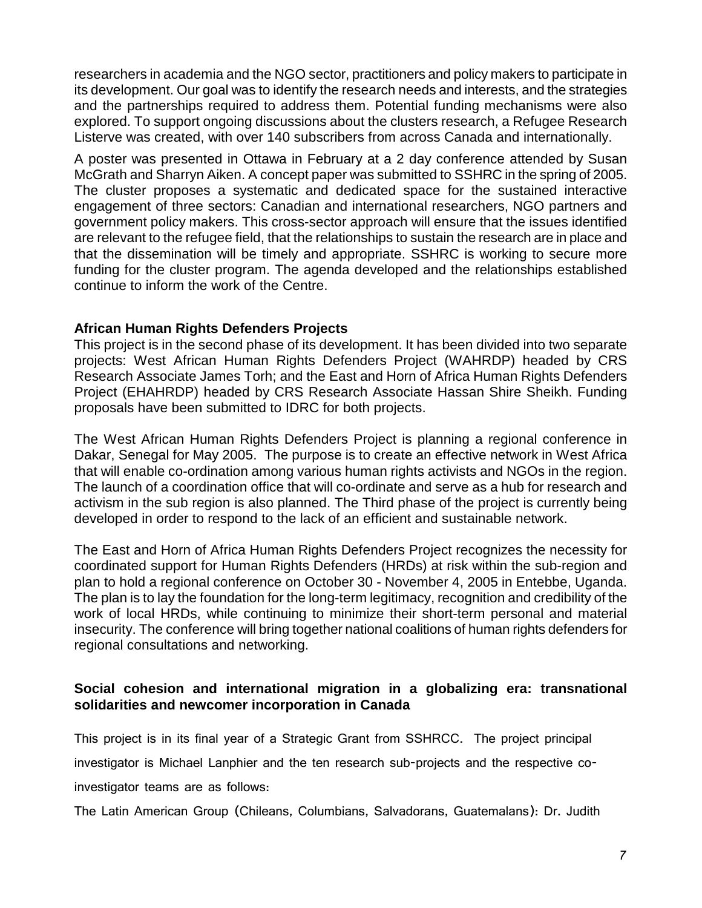researchers in academia and the NGO sector, practitioners and policy makers to participate in its development. Our goal was to identify the research needs and interests, and the strategies and the partnerships required to address them. Potential funding mechanisms were also explored. To support ongoing discussions about the clusters research, a Refugee Research Listerve was created, with over 140 subscribers from across Canada and internationally.

A poster was presented in Ottawa in February at a 2 day conference attended by Susan McGrath and Sharryn Aiken. A concept paper was submitted to SSHRC in the spring of 2005. The cluster proposes a systematic and dedicated space for the sustained interactive engagement of three sectors: Canadian and international researchers, NGO partners and government policy makers. This cross-sector approach will ensure that the issues identified are relevant to the refugee field, that the relationships to sustain the research are in place and that the dissemination will be timely and appropriate. SSHRC is working to secure more funding for the cluster program. The agenda developed and the relationships established continue to inform the work of the Centre.

#### **African Human Rights Defenders Projects**

This project is in the second phase of its development. It has been divided into two separate projects: West African Human Rights Defenders Project (WAHRDP) headed by CRS Research Associate James Torh; and the East and Horn of Africa Human Rights Defenders Project (EHAHRDP) headed by CRS Research Associate Hassan Shire Sheikh. Funding proposals have been submitted to IDRC for both projects.

The West African Human Rights Defenders Project is planning a regional conference in Dakar, Senegal for May 2005. The purpose is to create an effective network in West Africa that will enable co-ordination among various human rights activists and NGOs in the region. The launch of a coordination office that will co-ordinate and serve as a hub for research and activism in the sub region is also planned. The Third phase of the project is currently being developed in order to respond to the lack of an efficient and sustainable network.

The East and Horn of Africa Human Rights Defenders Project recognizes the necessity for coordinated support for Human Rights Defenders (HRDs) at risk within the sub-region and plan to hold a regional conference on October 30 - November 4, 2005 in Entebbe, Uganda. The plan is to lay the foundation for the long-term legitimacy, recognition and credibility of the work of local HRDs, while continuing to minimize their short-term personal and material insecurity. The conference will bring together national coalitions of human rights defenders for regional consultations and networking.

### **Social cohesion and international migration in a globalizing era: transnational solidarities and newcomer incorporation in Canada**

This project is in its final year of a Strategic Grant from SSHRCC. The project principal investigator is Michael Lanphier and the ten research sub-projects and the respective coinvestigator teams are as follows:

The Latin American Group (Chileans, Columbians, Salvadorans, Guatemalans): Dr. Judith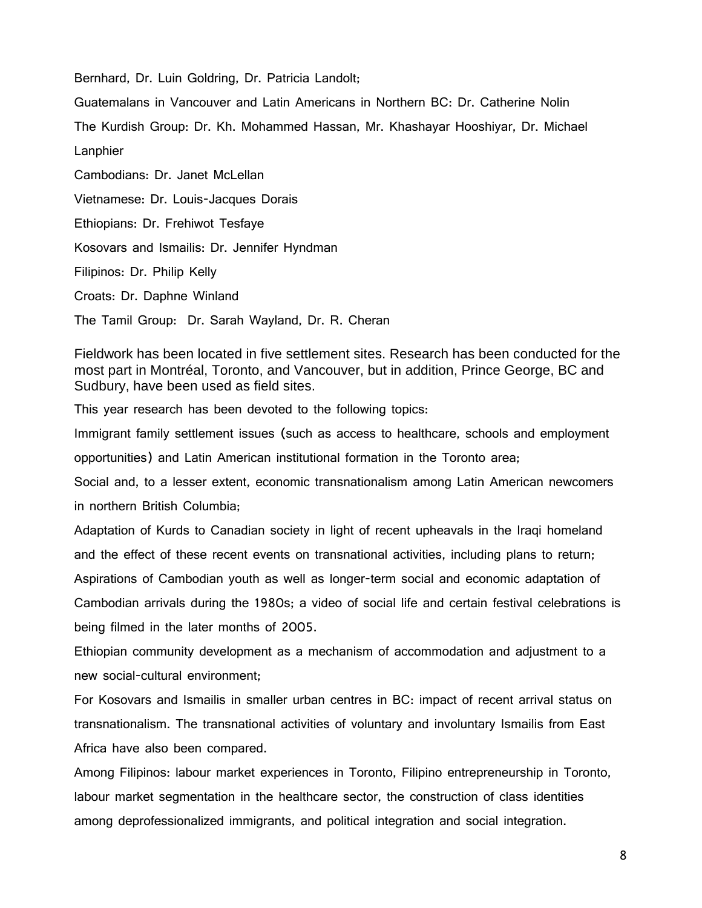Bernhard, Dr. Luin Goldring, Dr. Patricia Landolt;

Guatemalans in Vancouver and Latin Americans in Northern BC: Dr. Catherine Nolin

The Kurdish Group: Dr. Kh. Mohammed Hassan, Mr. Khashayar Hooshiyar, Dr. Michael

Lanphier

Cambodians: Dr. Janet McLellan

Vietnamese: Dr. Louis-Jacques Dorais

Ethiopians: Dr. Frehiwot Tesfaye

Kosovars and Ismailis: Dr. Jennifer Hyndman

Filipinos: Dr. Philip Kelly

Croats: Dr. Daphne Winland

The Tamil Group: Dr. Sarah Wayland, Dr. R. Cheran

Fieldwork has been located in five settlement sites. Research has been conducted for the most part in Montréal, Toronto, and Vancouver, but in addition, Prince George, BC and Sudbury, have been used as field sites.

This year research has been devoted to the following topics:

Immigrant family settlement issues (such as access to healthcare, schools and employment opportunities) and Latin American institutional formation in the Toronto area;

Social and, to a lesser extent, economic transnationalism among Latin American newcomers in northern British Columbia;

Adaptation of Kurds to Canadian society in light of recent upheavals in the Iraqi homeland and the effect of these recent events on transnational activities, including plans to return; Aspirations of Cambodian youth as well as longer-term social and economic adaptation of Cambodian arrivals during the 1980s; a video of social life and certain festival celebrations is being filmed in the later months of 2005.

Ethiopian community development as a mechanism of accommodation and adjustment to a new social-cultural environment;

For Kosovars and Ismailis in smaller urban centres in BC: impact of recent arrival status on transnationalism. The transnational activities of voluntary and involuntary Ismailis from East Africa have also been compared.

Among Filipinos: labour market experiences in Toronto, Filipino entrepreneurship in Toronto, labour market segmentation in the healthcare sector, the construction of class identities among deprofessionalized immigrants, and political integration and social integration.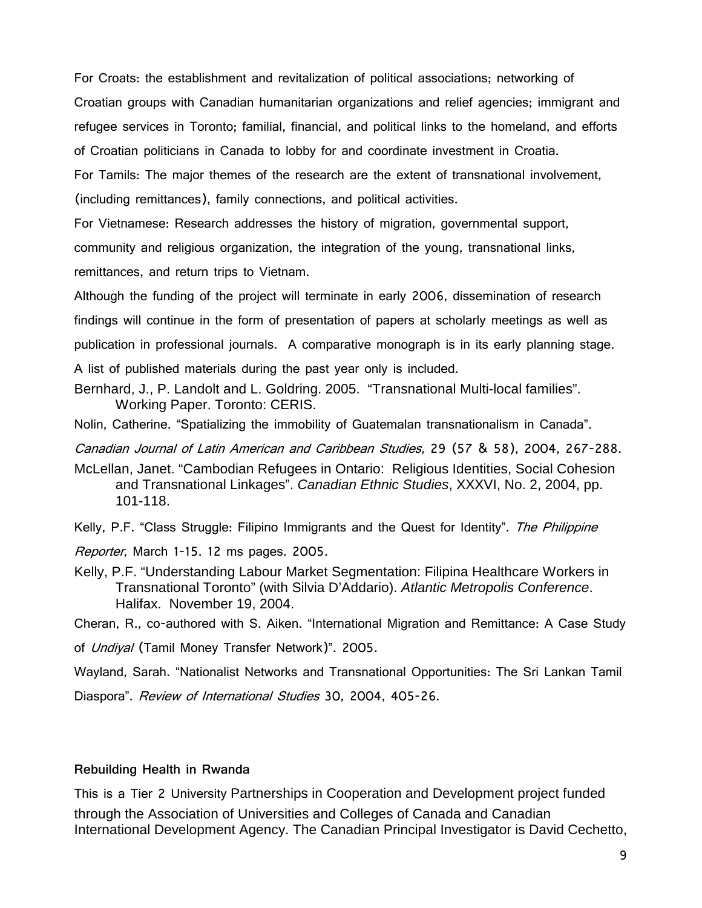For Croats: the establishment and revitalization of political associations; networking of Croatian groups with Canadian humanitarian organizations and relief agencies; immigrant and refugee services in Toronto; familial, financial, and political links to the homeland, and efforts of Croatian politicians in Canada to lobby for and coordinate investment in Croatia.

For Tamils: The major themes of the research are the extent of transnational involvement, (including remittances), family connections, and political activities.

For Vietnamese: Research addresses the history of migration, governmental support,

community and religious organization, the integration of the young, transnational links,

remittances, and return trips to Vietnam.

Although the funding of the project will terminate in early 2006, dissemination of research findings will continue in the form of presentation of papers at scholarly meetings as well as publication in professional journals. A comparative monograph is in its early planning stage. A list of published materials during the past year only is included.

Bernhard, J., P. Landolt and L. Goldring. 2005. "Transnational Multi-local families". Working Paper. Toronto: CERIS.

Nolin, Catherine. "Spatializing the immobility of Guatemalan transnationalism in Canada".

Canadian Journal of Latin American and Caribbean Studies, 29 (57 & 58), 2004, 267-288.

McLellan, Janet. "Cambodian Refugees in Ontario: Religious Identities, Social Cohesion and Transnational Linkages". *Canadian Ethnic Studies*, XXXVI, No. 2, 2004, pp. 101-118.

Kelly, P.F. "Class Struggle: Filipino Immigrants and the Quest for Identity". The Philippine

Reporter, March 1-15. 12 ms pages. 2005.

Kelly, P.F. "Understanding Labour Market Segmentation: Filipina Healthcare Workers in Transnational Toronto" (with Silvia D'Addario). *Atlantic Metropolis Conference*. Halifax. November 19, 2004.

Cheran, R., co-authored with S. Aiken. "International Migration and Remittance: A Case Study

of *Undiyal* (Tamil Money Transfer Network)". 2005.

Wayland, Sarah. "Nationalist Networks and Transnational Opportunities: The Sri Lankan Tamil

Diaspora". Review of International Studies 30, 2004, 405-26.

#### **Rebuilding Health in Rwanda**

This is a Tier 2 University Partnerships in Cooperation and Development project funded through the Association of Universities and Colleges of Canada and Canadian International Development Agency. The Canadian Principal Investigator is David Cechetto,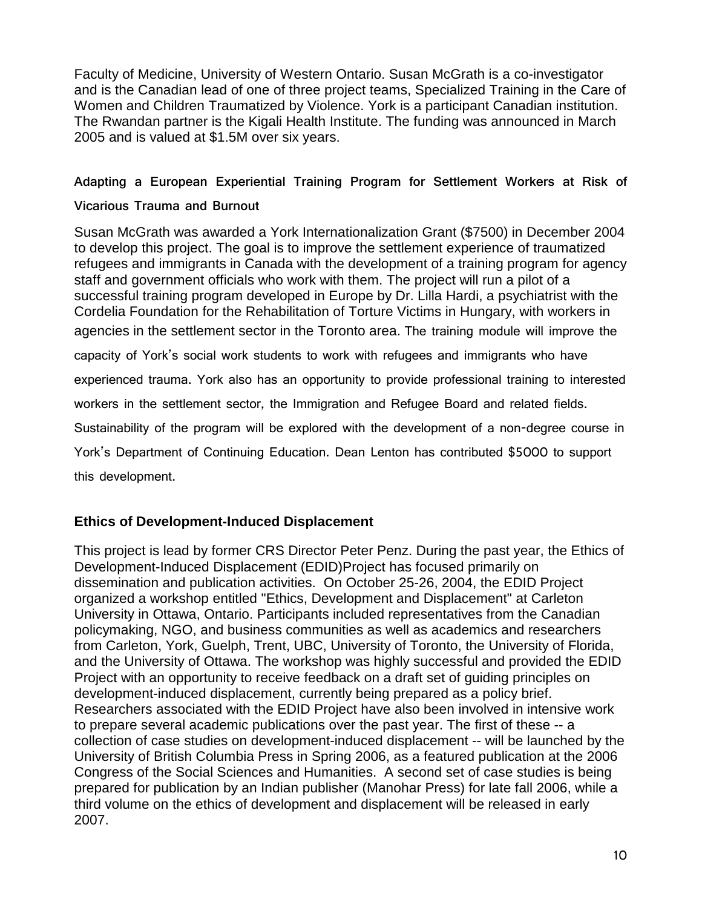Faculty of Medicine, University of Western Ontario. Susan McGrath is a co-investigator and is the Canadian lead of one of three project teams, Specialized Training in the Care of Women and Children Traumatized by Violence. York is a participant Canadian institution. The Rwandan partner is the Kigali Health Institute. The funding was announced in March 2005 and is valued at \$1.5M over six years.

## **Adapting a European Experiential Training Program for Settlement Workers at Risk of**

### **Vicarious Trauma and Burnout**

Susan McGrath was awarded a York Internationalization Grant (\$7500) in December 2004 to develop this project. The goal is to improve the settlement experience of traumatized refugees and immigrants in Canada with the development of a training program for agency staff and government officials who work with them. The project will run a pilot of a successful training program developed in Europe by Dr. Lilla Hardi, a psychiatrist with the Cordelia Foundation for the Rehabilitation of Torture Victims in Hungary, with workers in agencies in the settlement sector in the Toronto area. The training module will improve the capacity of York's social work students to work with refugees and immigrants who have experienced trauma. York also has an opportunity to provide professional training to interested workers in the settlement sector, the Immigration and Refugee Board and related fields. Sustainability of the program will be explored with the development of a non-degree course in York's Department of Continuing Education. Dean Lenton has contributed \$5000 to support this development.

# **Ethics of Development-Induced Displacement**

This project is lead by former CRS Director Peter Penz. During the past year, the Ethics of Development-Induced Displacement (EDID)Project has focused primarily on dissemination and publication activities. On October 25-26, 2004, the EDID Project organized a workshop entitled "Ethics, Development and Displacement" at Carleton University in Ottawa, Ontario. Participants included representatives from the Canadian policymaking, NGO, and business communities as well as academics and researchers from Carleton, York, Guelph, Trent, UBC, University of Toronto, the University of Florida, and the University of Ottawa. The workshop was highly successful and provided the EDID Project with an opportunity to receive feedback on a draft set of guiding principles on development-induced displacement, currently being prepared as a policy brief. Researchers associated with the EDID Project have also been involved in intensive work to prepare several academic publications over the past year. The first of these -- a collection of case studies on development-induced displacement -- will be launched by the University of British Columbia Press in Spring 2006, as a featured publication at the 2006 Congress of the Social Sciences and Humanities. A second set of case studies is being prepared for publication by an Indian publisher (Manohar Press) for late fall 2006, while a third volume on the ethics of development and displacement will be released in early 2007.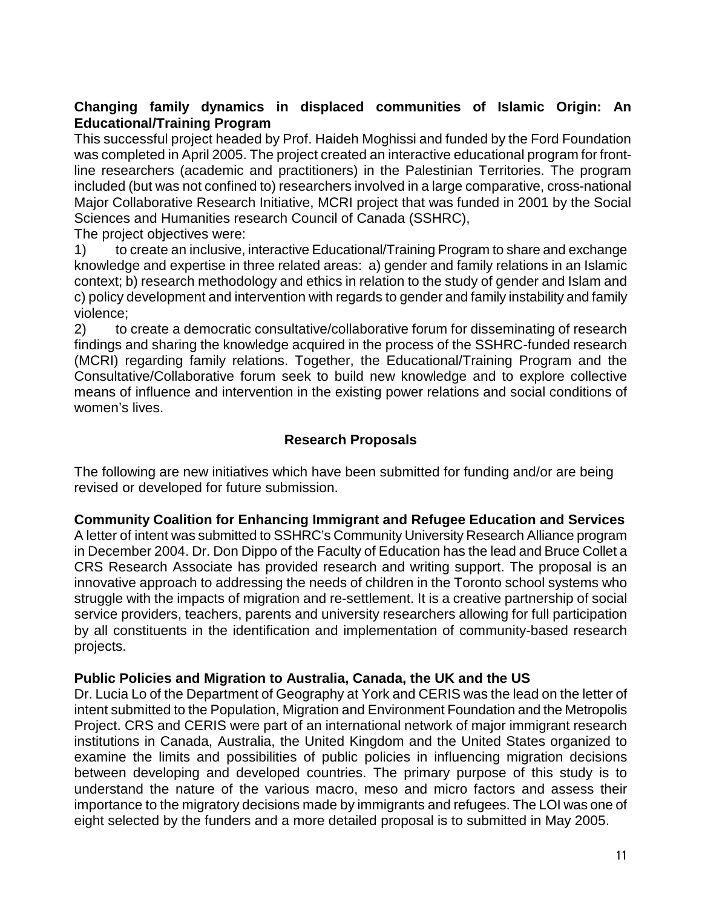### **Changing family dynamics in displaced communities of Islamic Origin: An Educational/Training Program**

This successful project headed by Prof. Haideh Moghissi and funded by the Ford Foundation was completed in April 2005. The project created an interactive educational program for frontline researchers (academic and practitioners) in the Palestinian Territories. The program included (but was not confined to) researchers involved in a large comparative, cross-national Major Collaborative Research Initiative, MCRI project that was funded in 2001 by the Social Sciences and Humanities research Council of Canada (SSHRC),

The project objectives were:

1) to create an inclusive, interactive Educational/Training Program to share and exchange knowledge and expertise in three related areas: a) gender and family relations in an Islamic context; b) research methodology and ethics in relation to the study of gender and Islam and c) policy development and intervention with regards to gender and family instability and family violence;

2) to create a democratic consultative/collaborative forum for disseminating of research findings and sharing the knowledge acquired in the process of the SSHRC-funded research (MCRI) regarding family relations. Together, the Educational/Training Program and the Consultative/Collaborative forum seek to build new knowledge and to explore collective means of influence and intervention in the existing power relations and social conditions of women's lives.

### **Research Proposals**

The following are new initiatives which have been submitted for funding and/or are being revised or developed for future submission.

#### **Community Coalition for Enhancing Immigrant and Refugee Education and Services**

A letter of intent was submitted to SSHRC's Community University Research Alliance program in December 2004. Dr. Don Dippo of the Faculty of Education has the lead and Bruce Collet a CRS Research Associate has provided research and writing support. The proposal is an innovative approach to addressing the needs of children in the Toronto school systems who struggle with the impacts of migration and re-settlement. It is a creative partnership of social service providers, teachers, parents and university researchers allowing for full participation by all constituents in the identification and implementation of community-based research projects.

#### **Public Policies and Migration to Australia, Canada, the UK and the US**

Dr. Lucia Lo of the Department of Geography at York and CERIS was the lead on the letter of intent submitted to the Population, Migration and Environment Foundation and the Metropolis Project. CRS and CERIS were part of an international network of major immigrant research institutions in Canada, Australia, the United Kingdom and the United States organized to examine the limits and possibilities of public policies in influencing migration decisions between developing and developed countries. The primary purpose of this study is to understand the nature of the various macro, meso and micro factors and assess their importance to the migratory decisions made by immigrants and refugees. The LOI was one of eight selected by the funders and a more detailed proposal is to submitted in May 2005.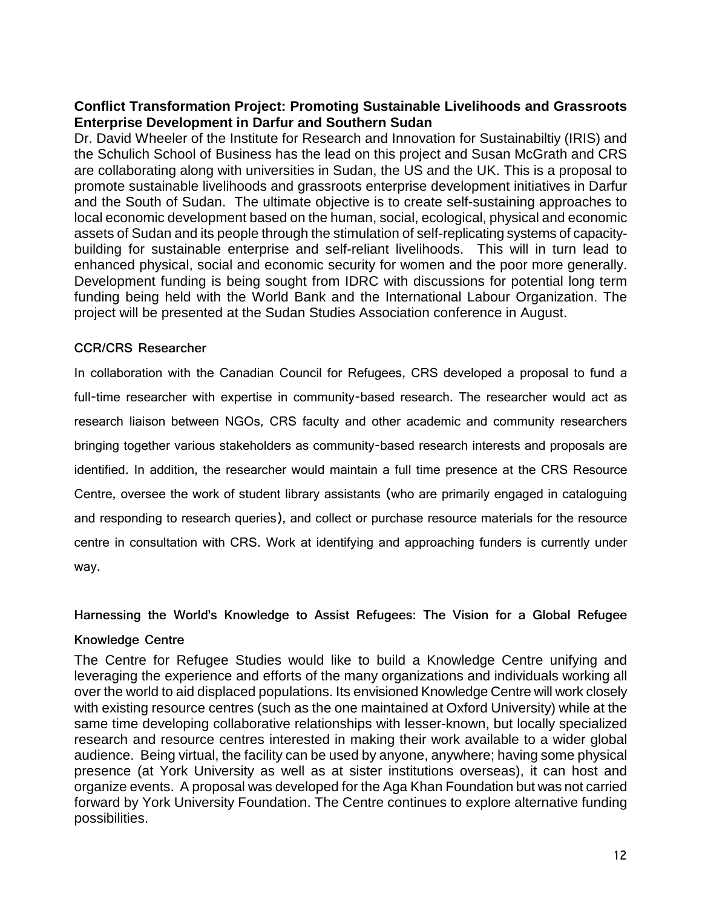## **Conflict Transformation Project: Promoting Sustainable Livelihoods and Grassroots Enterprise Development in Darfur and Southern Sudan**

Dr. David Wheeler of the Institute for Research and Innovation for Sustainabiltiy (IRIS) and the Schulich School of Business has the lead on this project and Susan McGrath and CRS are collaborating along with universities in Sudan, the US and the UK. This is a proposal to promote sustainable livelihoods and grassroots enterprise development initiatives in Darfur and the South of Sudan. The ultimate objective is to create self-sustaining approaches to local economic development based on the human, social, ecological, physical and economic assets of Sudan and its people through the stimulation of self-replicating systems of capacitybuilding for sustainable enterprise and self-reliant livelihoods. This will in turn lead to enhanced physical, social and economic security for women and the poor more generally. Development funding is being sought from IDRC with discussions for potential long term funding being held with the World Bank and the International Labour Organization. The project will be presented at the Sudan Studies Association conference in August.

#### **CCR/CRS Researcher**

In collaboration with the Canadian Council for Refugees, CRS developed a proposal to fund a full-time researcher with expertise in community-based research. The researcher would act as research liaison between NGOs, CRS faculty and other academic and community researchers bringing together various stakeholders as community-based research interests and proposals are identified. In addition, the researcher would maintain a full time presence at the CRS Resource Centre, oversee the work of student library assistants (who are primarily engaged in cataloguing and responding to research queries), and collect or purchase resource materials for the resource centre in consultation with CRS. Work at identifying and approaching funders is currently under way.

**Harnessing the World's Knowledge to Assist Refugees: The Vision for a Global Refugee** 

#### **Knowledge Centre**

The Centre for Refugee Studies would like to build a Knowledge Centre unifying and leveraging the experience and efforts of the many organizations and individuals working all over the world to aid displaced populations. Its envisioned Knowledge Centre will work closely with existing resource centres (such as the one maintained at Oxford University) while at the same time developing collaborative relationships with lesser-known, but locally specialized research and resource centres interested in making their work available to a wider global audience. Being virtual, the facility can be used by anyone, anywhere; having some physical presence (at York University as well as at sister institutions overseas), it can host and organize events. A proposal was developed for the Aga Khan Foundation but was not carried forward by York University Foundation. The Centre continues to explore alternative funding possibilities.